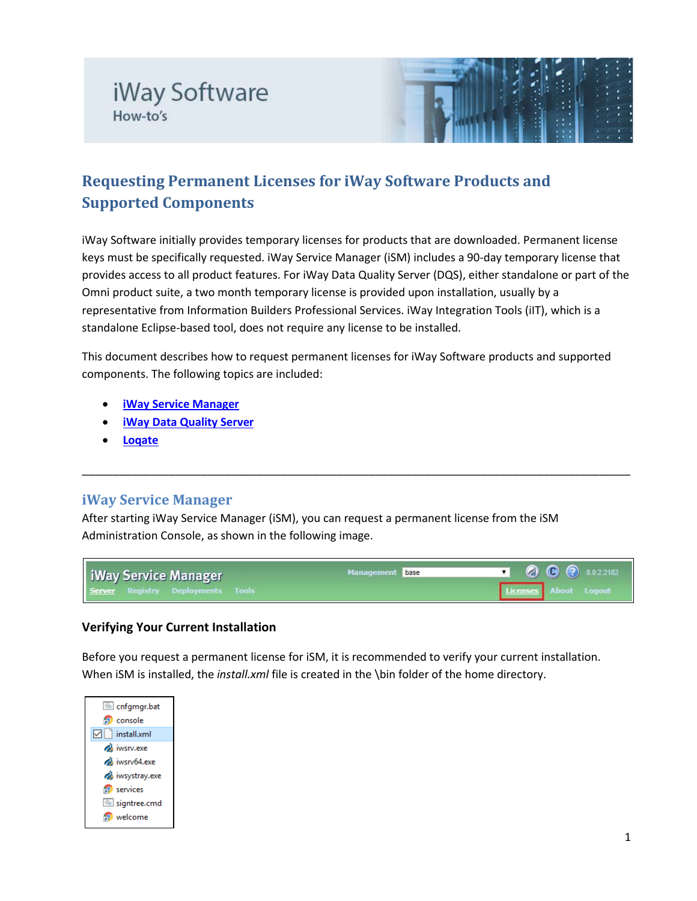



# **Requesting Permanent Licenses for iWay Software Products and Supported Components**

iWay Software initially provides temporary licenses for products that are downloaded. Permanent license keys must be specifically requested. iWay Service Manager (iSM) includes a 90-day temporary license that provides access to all product features. For iWay Data Quality Server (DQS), either standalone or part of the Omni product suite, a two month temporary license is provided upon installation, usually by a representative from Information Builders Professional Services. iWay Integration Tools (iIT), which is a standalone Eclipse-based tool, does not require any license to be installed.

This document describes how to request permanent licenses for iWay Software products and supported components. The following topics are included:

- **[iWay Service Manager](#page-0-0)**
- **[iWay Data Quality Server](#page-4-0)**
- **[Loqate](#page-6-0)**

### <span id="page-0-0"></span>**iWay Service Manager**

After starting iWay Service Manager (iSM), you can request a permanent license from the iSM Administration Console, as shown in the following image.



\_\_\_\_\_\_\_\_\_\_\_\_\_\_\_\_\_\_\_\_\_\_\_\_\_\_\_\_\_\_\_\_\_\_\_\_\_\_\_\_\_\_\_\_\_\_\_\_\_\_\_\_\_\_\_\_\_\_\_\_\_\_\_\_\_\_\_\_\_\_\_\_\_\_\_\_\_\_\_\_\_\_\_\_\_\_\_\_

### **Verifying Your Current Installation**

Before you request a permanent license for iSM, it is recommended to verify your current installation. When iSM is installed, the *install.xml* file is created in the \bin folder of the home directory.

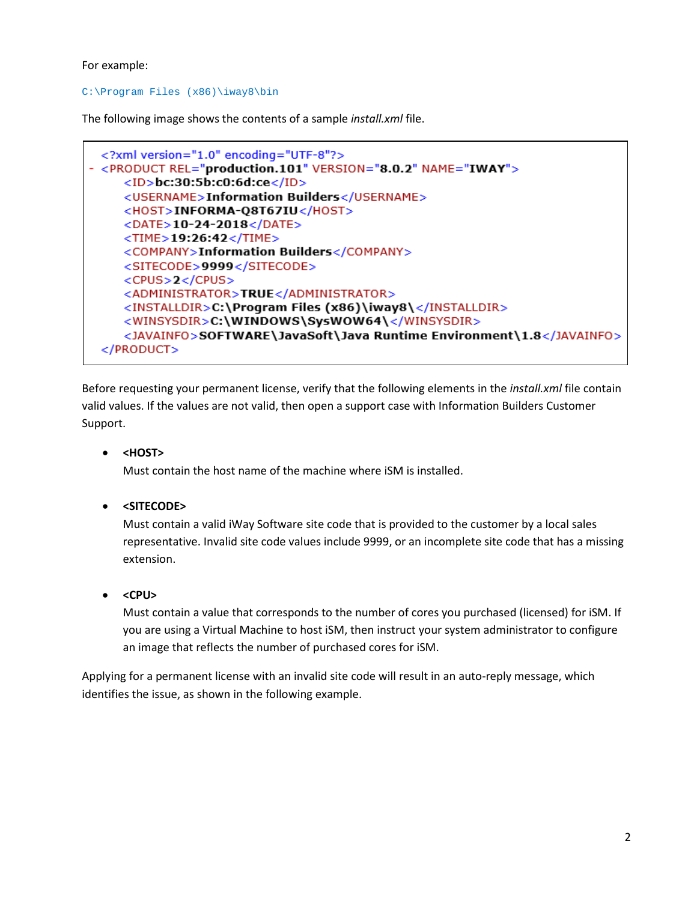For example:

#### C:\Program Files (x86)\iway8\bin

The following image shows the contents of a sample *install.xml* file.



Before requesting your permanent license, verify that the following elements in the *install.xml* file contain valid values. If the values are not valid, then open a support case with Information Builders Customer Support.

• **<HOST>**

Must contain the host name of the machine where iSM is installed.

• **<SITECODE>**

Must contain a valid iWay Software site code that is provided to the customer by a local sales representative. Invalid site code values include 9999, or an incomplete site code that has a missing extension.

• **<CPU>**

Must contain a value that corresponds to the number of cores you purchased (licensed) for iSM. If you are using a Virtual Machine to host iSM, then instruct your system administrator to configure an image that reflects the number of purchased cores for iSM.

Applying for a permanent license with an invalid site code will result in an auto-reply message, which identifies the issue, as shown in the following example.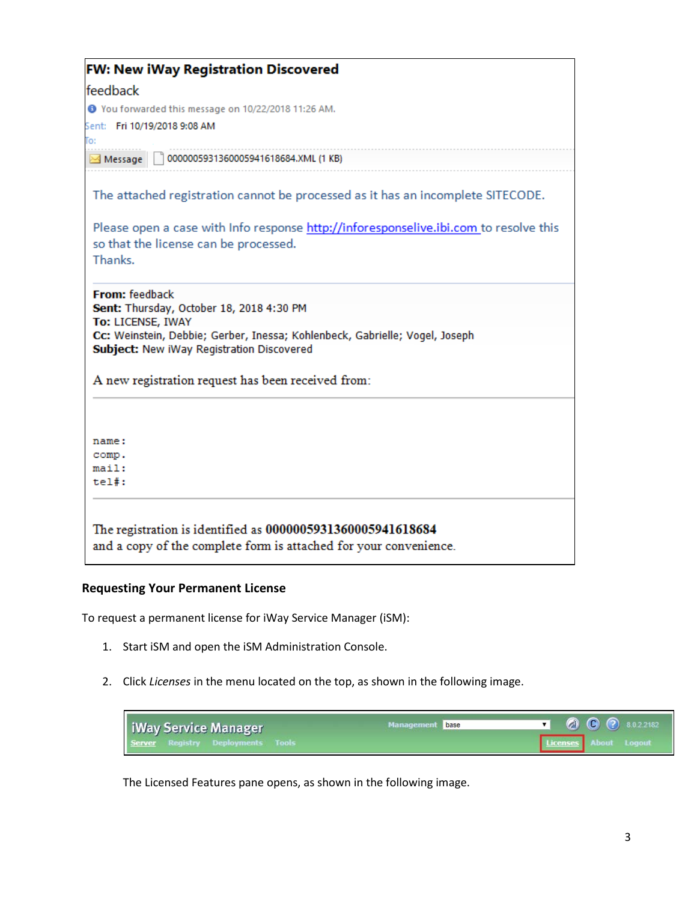| <b>FW: New iWay Registration Discovered</b>                                                                                               |
|-------------------------------------------------------------------------------------------------------------------------------------------|
| feedback                                                                                                                                  |
| ● You forwarded this message on 10/22/2018 11:26 AM.                                                                                      |
| Sent: Fri 10/19/2018 9:08 AM                                                                                                              |
| Го:                                                                                                                                       |
| 0000005931360005941618684.XML (1 KB)<br>Message                                                                                           |
| The attached registration cannot be processed as it has an incomplete SITECODE.                                                           |
| Please open a case with Info response http://inforesponselive.ibi.com to resolve this<br>so that the license can be processed.<br>Thanks. |
| <b>From:</b> feedback<br>Sent: Thursday, October 18, 2018 4:30 PM                                                                         |
| To: LICENSE, IWAY                                                                                                                         |
| Cc: Weinstein, Debbie; Gerber, Inessa; Kohlenbeck, Gabrielle; Vogel, Joseph                                                               |
| Subject: New iWay Registration Discovered                                                                                                 |
| A new registration request has been received from:                                                                                        |
|                                                                                                                                           |
| name:                                                                                                                                     |
| comp.<br>main:                                                                                                                            |
| $tel#$ :                                                                                                                                  |
| The registration is identified as 0000005931360005941618684                                                                               |
| and a copy of the complete form is attached for your convenience.                                                                         |

### **Requesting Your Permanent License**

To request a permanent license for iWay Service Manager (iSM):

- 1. Start iSM and open the iSM Administration Console.
- 2. Click *Licenses* in the menu located on the top, as shown in the following image.



The Licensed Features pane opens, as shown in the following image.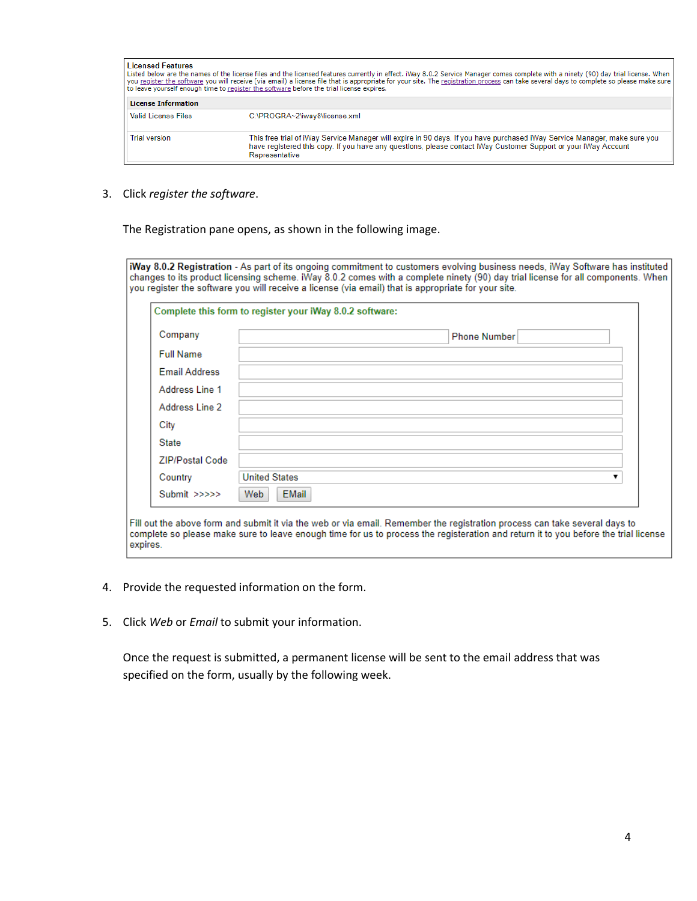| <b>Licensed Features</b>   | Listed below are the names of the license files and the licensed features currently in effect. iWay 8.0.2 Service Manager comes complete with a ninety (90) day trial license. When<br>you register the software you will receive (via email) a license file that is appropriate for your site. The registration process can take several days to complete so please make sure<br>to leave yourself enough time to register the software before the trial license expires. |
|----------------------------|----------------------------------------------------------------------------------------------------------------------------------------------------------------------------------------------------------------------------------------------------------------------------------------------------------------------------------------------------------------------------------------------------------------------------------------------------------------------------|
| <b>License Information</b> |                                                                                                                                                                                                                                                                                                                                                                                                                                                                            |
| <b>Valid License Files</b> | C:\PROGRA~2\iway8\license.xml                                                                                                                                                                                                                                                                                                                                                                                                                                              |
| <b>Trial version</b>       | This free trial of iWay Service Manager will expire in 90 days. If you have purchased iWay Service Manager, make sure you<br>have registered this copy. If you have any questions, please contact iWay Customer Support or your iWay Account<br>Representative                                                                                                                                                                                                             |

3. Click *register the software*.

The Registration pane opens, as shown in the following image.

iWay 8.0.2 Registration - As part of its ongoing commitment to customers evolving business needs, iWay Software has instituted changes to its product licensing scheme. iWay 8.0.2 comes with a complete ninety (90) day trial license for all components. When you register the software you will receive a license (via email) that is appropriate for your site.

| Company                | <b>Phone Number</b>  |
|------------------------|----------------------|
| <b>Full Name</b>       |                      |
| <b>Email Address</b>   |                      |
| Address Line 1         |                      |
| Address Line 2         |                      |
| City                   |                      |
| <b>State</b>           |                      |
| <b>ZIP/Postal Code</b> |                      |
| Country                | <b>United States</b> |
| Submit >>>>>           | <b>EMail</b><br>Web  |

- 4. Provide the requested information on the form.
- 5. Click *Web* or *Email* to submit your information.

Once the request is submitted, a permanent license will be sent to the email address that was specified on the form, usually by the following week.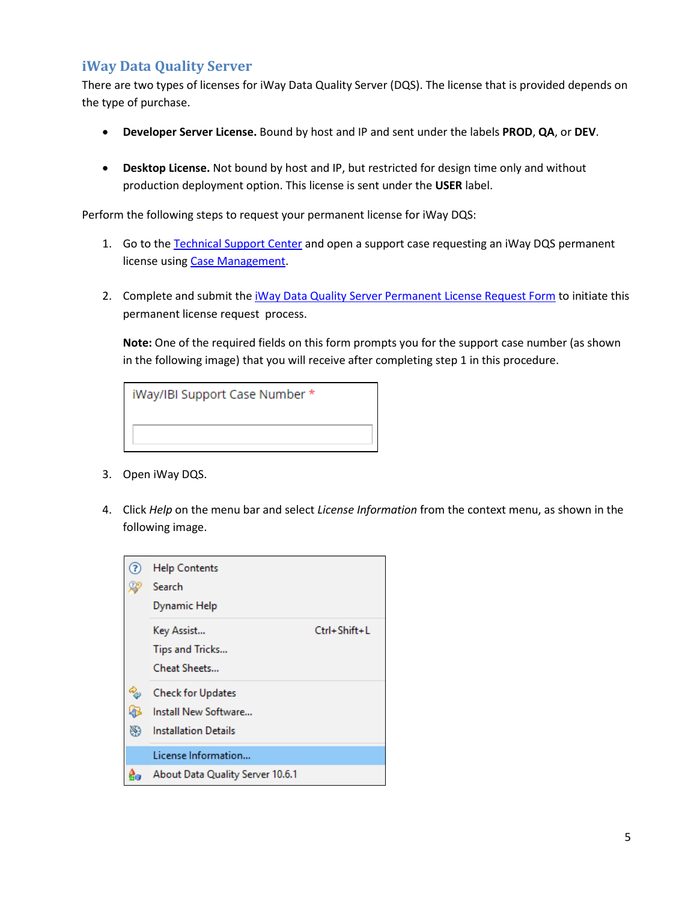# <span id="page-4-0"></span>**iWay Data Quality Server**

There are two types of licenses for iWay Data Quality Server (DQS). The license that is provided depends on the type of purchase.

- **Developer Server License.** Bound by host and IP and sent under the labels **PROD**, **QA**, or **DEV**.
- **Desktop License.** Not bound by host and IP, but restricted for design time only and without production deployment option. This license is sent under the **USER** label.

Perform the following steps to request your permanent license for iWay DQS:

- 1. Go to th[e Technical Support Center](https://techsupport.informationbuilders.com/) and open a support case requesting an iWay DQS permanent license using [Case Management.](https://techsupport.informationbuilders.com/iro/casemanagement.jsp)
- 2. Complete and submit the [iWay Data Quality Server Permanent License Request Form](https://techsupport.informationbuilders.com/tech/iway/iway_ann_dqs_licreq.html) to initiate this permanent license request process.

**Note:** One of the required fields on this form prompts you for the support case number (as shown in the following image) that you will receive after completing step 1 in this procedure.

| iWay/IBI Support Case Number * |  |
|--------------------------------|--|
|                                |  |
|                                |  |

- 3. Open iWay DQS.
- 4. Click *Help* on the menu bar and select *License Information* from the context menu, as shown in the following image.

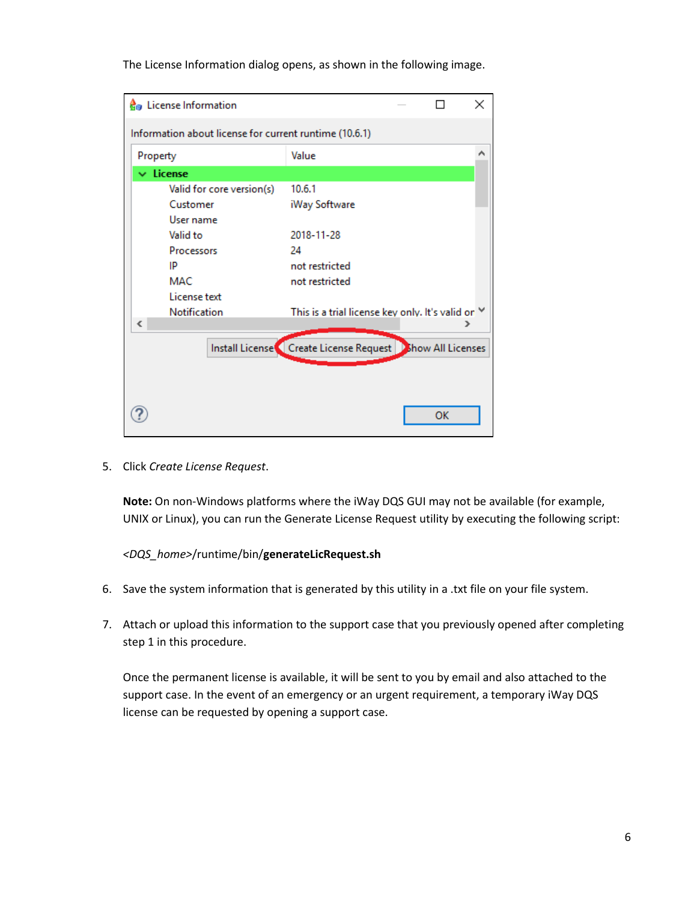The License Information dialog opens, as shown in the following image.

| <b>C</b> <sub>®</sub> License Information              |                                                             |           | × |
|--------------------------------------------------------|-------------------------------------------------------------|-----------|---|
| Information about license for current runtime (10.6.1) |                                                             |           |   |
| Property                                               | Value                                                       |           |   |
| $\vee$ License                                         |                                                             |           |   |
| Valid for core version(s)                              | 10.6.1                                                      |           |   |
| Customer                                               | iWay Software                                               |           |   |
| User name                                              |                                                             |           |   |
| Valid to                                               | 2018-11-28                                                  |           |   |
| Processors                                             | 24                                                          |           |   |
| IP                                                     | not restricted                                              |           |   |
| <b>MAC</b>                                             | not restricted                                              |           |   |
| License text                                           |                                                             |           |   |
| Notification                                           | This is a trial license key only. It's valid or Y           |           |   |
| ∢                                                      |                                                             |           |   |
|                                                        | Install License C Create License Request Bihow All Licenses |           |   |
|                                                        |                                                             |           |   |
|                                                        |                                                             |           |   |
|                                                        |                                                             |           |   |
|                                                        |                                                             | <b>OK</b> |   |
|                                                        |                                                             |           |   |

5. Click *Create License Request*.

**Note:** On non-Windows platforms where the iWay DQS GUI may not be available (for example, UNIX or Linux), you can run the Generate License Request utility by executing the following script:

*<DQS\_home>*/runtime/bin/**generateLicRequest.sh**

- 6. Save the system information that is generated by this utility in a .txt file on your file system.
- 7. Attach or upload this information to the support case that you previously opened after completing step 1 in this procedure.

Once the permanent license is available, it will be sent to you by email and also attached to the support case. In the event of an emergency or an urgent requirement, a temporary iWay DQS license can be requested by opening a support case.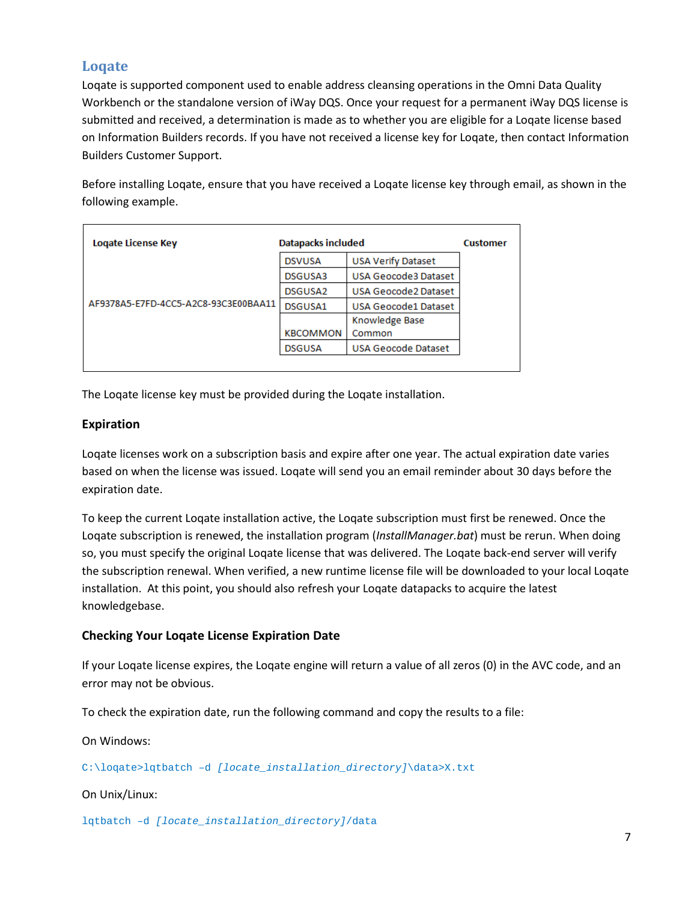# <span id="page-6-0"></span>**Loqate**

Loqate is supported component used to enable address cleansing operations in the Omni Data Quality Workbench or the standalone version of iWay DQS. Once your request for a permanent iWay DQS license is submitted and received, a determination is made as to whether you are eligible for a Loqate license based on Information Builders records. If you have not received a license key for Loqate, then contact Information Builders Customer Support.

Before installing Loqate, ensure that you have received a Loqate license key through email, as shown in the following example.

| Logate License Key                   | Datapacks included  |                            | <b>Customer</b> |
|--------------------------------------|---------------------|----------------------------|-----------------|
|                                      | <b>DSVUSA</b>       | <b>USA Verify Dataset</b>  |                 |
| AF9378A5-E7FD-4CC5-A2C8-93C3E00BAA11 | DSGUSA3             | USA Geocode3 Dataset       |                 |
|                                      | DSGUSA <sub>2</sub> | USA Geocode2 Dataset       |                 |
|                                      | DSGUSA1             | USA Geocode1 Dataset       |                 |
|                                      |                     | Knowledge Base             |                 |
|                                      | <b>KBCOMMON</b>     | Common                     |                 |
|                                      | <b>DSGUSA</b>       | <b>USA Geocode Dataset</b> |                 |

The Loqate license key must be provided during the Loqate installation.

### **Expiration**

Loqate licenses work on a subscription basis and expire after one year. The actual expiration date varies based on when the license was issued. Loqate will send you an email reminder about 30 days before the expiration date.

To keep the current Loqate installation active, the Loqate subscription must first be renewed. Once the Loqate subscription is renewed, the installation program (*InstallManager.bat*) must be rerun. When doing so, you must specify the original Loqate license that was delivered. The Loqate back-end server will verify the subscription renewal. When verified, a new runtime license file will be downloaded to your local Loqate installation. At this point, you should also refresh your Loqate datapacks to acquire the latest knowledgebase.

### **Checking Your Loqate License Expiration Date**

If your Loqate license expires, the Loqate engine will return a value of all zeros (0) in the AVC code, and an error may not be obvious.

To check the expiration date, run the following command and copy the results to a file:

On Windows:

C:\loqate>lqtbatch –d *[locate\_installation\_directory]*\data>X.txt

#### On Unix/Linux:

lqtbatch –d *[locate\_installation\_directory]*/data